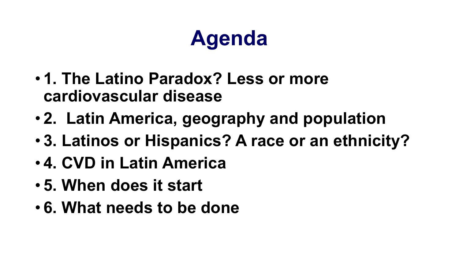## **Agenda**

- **1. The Latino Paradox? Less or more cardiovascular disease**
- **2. Latin America, geography and population**
- **3. Latinos or Hispanics? A race or an ethnicity?**
- **4. CVD in Latin America**
- **5. When does it start**
- **6. What needs to be done**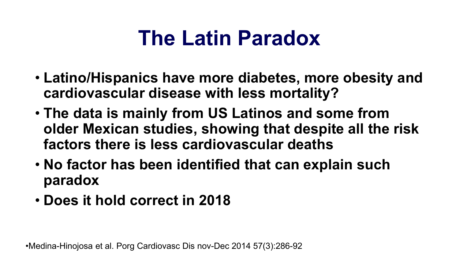## **The Latin Paradox**

- **Latino/Hispanics have more diabetes, more obesity and cardiovascular disease with less mortality?**
- **The data is mainly from US Latinos and some from older Mexican studies, showing that despite all the risk factors there is less cardiovascular deaths**
- **No factor has been identified that can explain such paradox**
- **Does it hold correct in 2018**

•Medina-Hinojosa et al. Porg Cardiovasc Dis nov-Dec 2014 57(3):286-92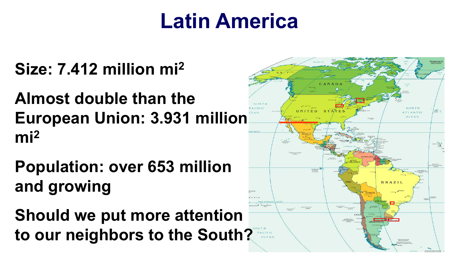## **Latin America**

#### **Size: 7.412 million mi2**

#### **Almost double than the European Union: 3.931 million mi2**

- **Population: over 653 million and growing**
- **Should we put more attention to our neighbors to the South?**

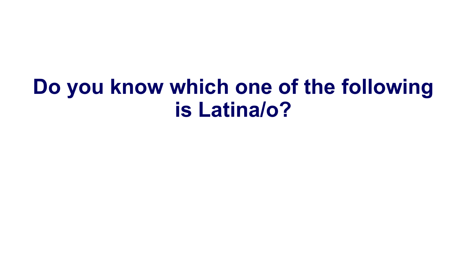## **Do you know which one of the following is Latina/o?**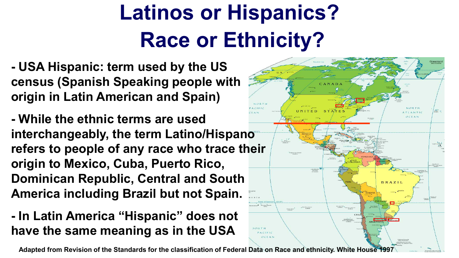# **Latinos or Hispanics? Race or Ethnicity?**

UNITED STATES

**BRAZII** 

**- USA Hispanic: term used by the US census (Spanish Speaking people with origin in Latin American and Spain)**

**- While the ethnic terms are used interchangeably, the term Latino/Hispano refers to people of any race who trace their origin to Mexico, Cuba, Puerto Rico, Dominican Republic, Central and South America including Brazil but not Spain.**

#### **- In Latin America "Hispanic" does not have the same meaning as in the USA**

**Adapted from Revision of the Standards for the classification of Federal Data on Race and ethnicity. White House 1997**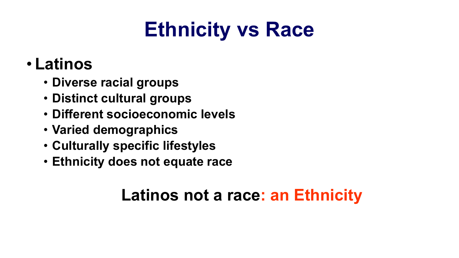## **Ethnicity vs Race**

#### • **Latinos**

- **Diverse racial groups**
- **Distinct cultural groups**
- **Different socioeconomic levels**
- **Varied demographics**
- **Culturally specific lifestyles**
- **Ethnicity does not equate race**

#### **Latinos not a race: an Ethnicity**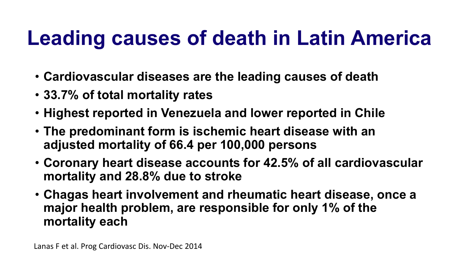## **Leading causes of death in Latin America**

- **Cardiovascular diseases are the leading causes of death**
- **33.7% of total mortality rates**
- **Highest reported in Venezuela and lower reported in Chile**
- **The predominant form is ischemic heart disease with an adjusted mortality of 66.4 per 100,000 persons**
- **Coronary heart disease accounts for 42.5% of all cardiovascular mortality and 28.8% due to stroke**
- **Chagas heart involvement and rheumatic heart disease, once a major health problem, are responsible for only 1% of the mortality each**

Lanas F et al. Prog Cardiovasc Dis. Nov-Dec 2014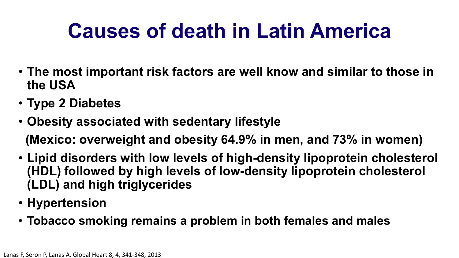## **Causes of death in Latin America**

- **The most important risk factors are well know and similar to those in the USA**
- **Type 2 Diabetes**
- **Obesity associated with sedentary lifestyle**

**(Mexico: overweight and obesity 64.9% in men, and 73% in women)**

- **Lipid disorders with low levels of high-density lipoprotein cholesterol (HDL) followed by high levels of low-density lipoprotein cholesterol (LDL) and high triglycerides**
- **Hypertension**
- **Tobacco smoking remains a problem in both females and males**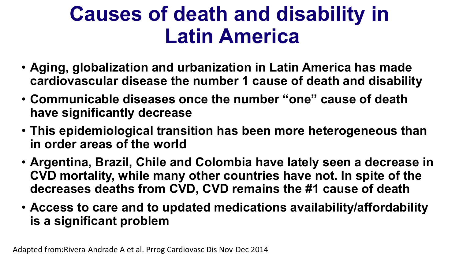## **Causes of death and disability in Latin America**

- **Aging, globalization and urbanization in Latin America has made cardiovascular disease the number 1 cause of death and disability**
- **Communicable diseases once the number "one" cause of death have significantly decrease**
- **This epidemiological transition has been more heterogeneous than in order areas of the world**
- **Argentina, Brazil, Chile and Colombia have lately seen a decrease in CVD mortality, while many other countries have not. In spite of the decreases deaths from CVD, CVD remains the #1 cause of death**
- **Access to care and to updated medications availability/affordability is a significant problem**

Adapted from:Rivera-Andrade A et al. Prrog Cardiovasc Dis Nov-Dec 2014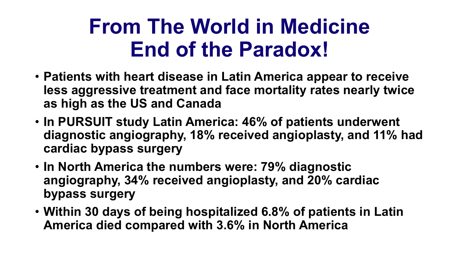## **From The World in Medicine End of the Paradox!**

- **Patients with heart disease in Latin America appear to receive less aggressive treatment and face mortality rates nearly twice as high as the US and Canada**
- **In PURSUIT study Latin America: 46% of patients underwent diagnostic angiography, 18% received angioplasty, and 11% had cardiac bypass surgery**
- **In North America the numbers were: 79% diagnostic angiography, 34% received angioplasty, and 20% cardiac bypass surgery**
- **Within 30 days of being hospitalized 6.8% of patients in Latin America died compared with 3.6% in North America**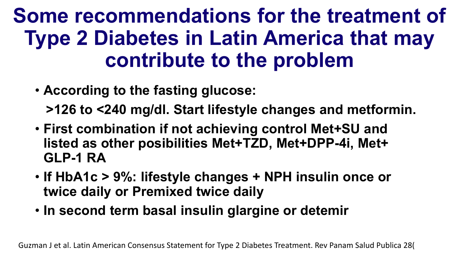## **Some recommendations for the treatment of Type 2 Diabetes in Latin America that may contribute to the problem**

• **According to the fasting glucose:**

**>126 to <240 mg/dl. Start lifestyle changes and metformin.** 

- **First combination if not achieving control Met+SU and listed as other posibilities Met+TZD, Met+DPP-4i, Met+ GLP-1 RA**
- **If HbA1c > 9%: lifestyle changes + NPH insulin once or twice daily or Premixed twice daily**
- **In second term basal insulin glargine or detemir**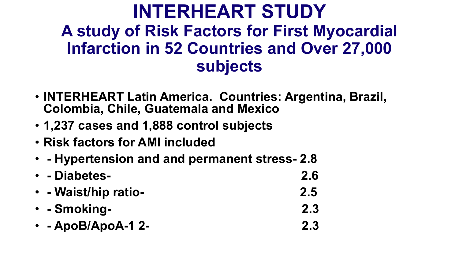#### **INTERHEART STUDY A study of Risk Factors for First Myocardial Infarction in 52 Countries and Over 27,000 subjects**

- **INTERHEART Latin America. Countries: Argentina, Brazil, Colombia, Chile, Guatemala and Mexico**
- **1,237 cases and 1,888 control subjects**
- **Risk factors for AMI included**
- **- Hypertension and and permanent stress- 2.8**
- **- Diabetes- 2.6**
- **- Waist/hip ratio- 2.5**
- **- Smoking- 2.3**
- **- ApoB/ApoA-1 2- 2.3**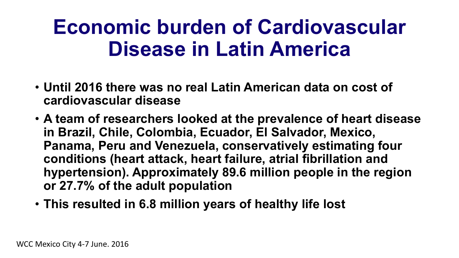## **Economic burden of Cardiovascular Disease in Latin America**

- **Until 2016 there was no real Latin American data on cost of cardiovascular disease**
- **A team of researchers looked at the prevalence of heart disease in Brazil, Chile, Colombia, Ecuador, El Salvador, Mexico, Panama, Peru and Venezuela, conservatively estimating four conditions (heart attack, heart failure, atrial fibrillation and hypertension). Approximately 89.6 million people in the region or 27.7% of the adult population**
- **This resulted in 6.8 million years of healthy life lost**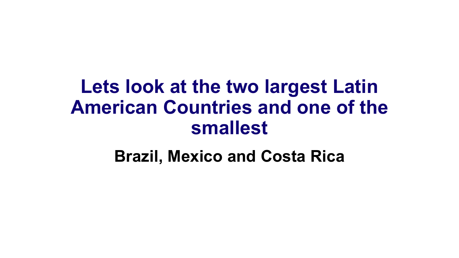### **Lets look at the two largest Latin American Countries and one of the smallest**

**Brazil, Mexico and Costa Rica**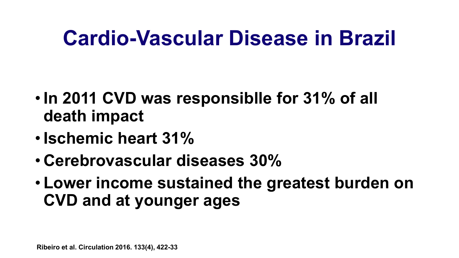## **Cardio-Vascular Disease in Brazil**

- **In 2011 CVD was responsiblle for 31% of all death impact**
- **Ischemic heart 31%**
- **Cerebrovascular diseases 30%**
- **Lower income sustained the greatest burden on CVD and at younger ages**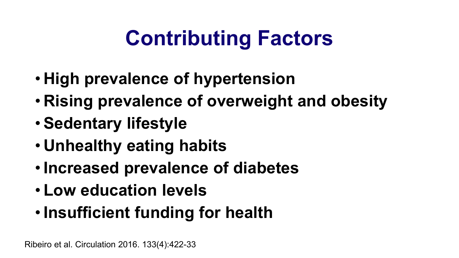## **Contributing Factors**

- **High prevalence of hypertension**
- **Rising prevalence of overweight and obesity**
- **Sedentary lifestyle**
- **Unhealthy eating habits**
- **Increased prevalence of diabetes**
- **Low education levels**
- **Insufficient funding for health**

Ribeiro et al. Circulation 2016. 133(4):422-33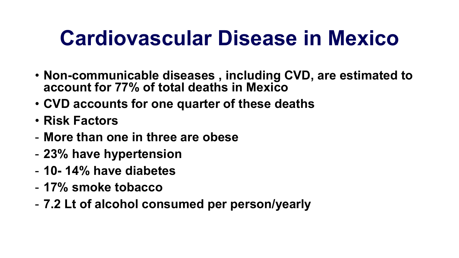## **Cardiovascular Disease in Mexico**

- **Non-communicable diseases , including CVD, are estimated to account for 77% of total deaths in Mexico**
- **CVD accounts for one quarter of these deaths**
- **Risk Factors**
- **More than one in three are obese**
- **23% have hypertension**
- **10- 14% have diabetes**
- **17% smoke tobacco**
- **7.2 Lt of alcohol consumed per person/yearly**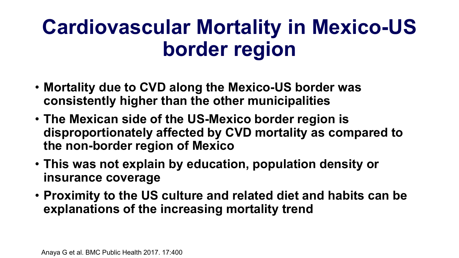## **Cardiovascular Mortality in Mexico-US border region**

- **Mortality due to CVD along the Mexico-US border was consistently higher than the other municipalities**
- **The Mexican side of the US-Mexico border region is disproportionately affected by CVD mortality as compared to the non-border region of Mexico**
- **This was not explain by education, population density or insurance coverage**
- **Proximity to the US culture and related diet and habits can be explanations of the increasing mortality trend**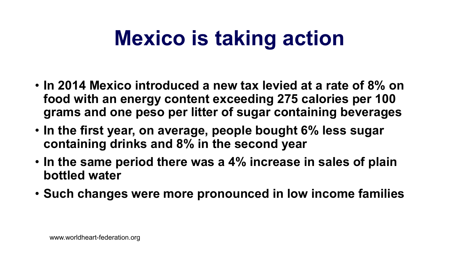## **Mexico is taking action**

- **In 2014 Mexico introduced a new tax levied at a rate of 8% on food with an energy content exceeding 275 calories per 100 grams and one peso per litter of sugar containing beverages**
- **In the first year, on average, people bought 6% less sugar containing drinks and 8% in the second year**
- **In the same period there was a 4% increase in sales of plain bottled water**
- **Such changes were more pronounced in low income families**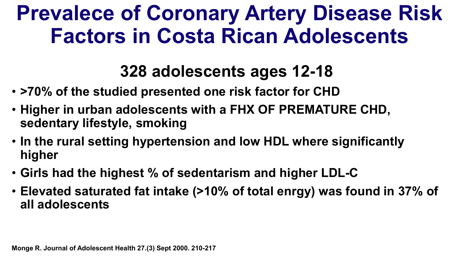## **Prevalece of Coronary Artery Disease Risk Factors in Costa Rican Adolescents**

#### **328 adolescents ages 12-18**

- **>70% of the studied presented one risk factor for CHD**
- **Higher in urban adolescents with a FHX OF PREMATURE CHD, sedentary lifestyle, smoking**
- **In the rural setting hypertension and low HDL where significantly higher**
- **Girls had the highest % of sedentarism and higher LDL-C**
- **Elevated saturated fat intake (>10% of total enrgy) was found in 37% of all adolescents**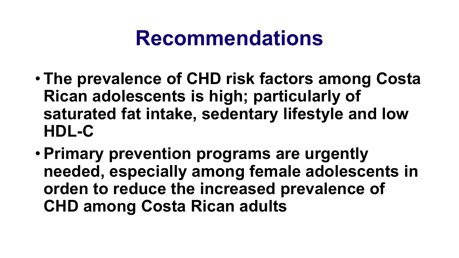### **Recommendations**

- **The prevalence of CHD risk factors among Costa Rican adolescents is high; particularly of saturated fat intake, sedentary lifestyle and low HDL-C**
- **Primary prevention programs are urgently needed, especially among female adolescents in orden to reduce the increased prevalence of CHD among Costa Rican adults**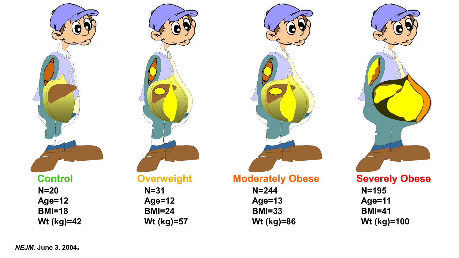**N=20 Age=12 BMI=18 Wt (kg)=42**

#### **N=31 Age=12 BMI=24 Wt (kg)=57**

| <b>Moderately Obese</b> |  |
|-------------------------|--|
|-------------------------|--|

| N=244         |
|---------------|
| Age=13        |
| <b>BMI=33</b> |
| Wt (kg)=86    |





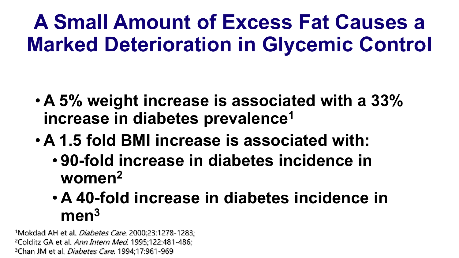## **A Small Amount of Excess Fat Causes a Marked Deterioration in Glycemic Control**

- **A 5% weight increase is associated with a 33% increase in diabetes prevalence1**
- **A 1.5 fold BMI increase is associated with:**
	- **90-fold increase in diabetes incidence in women2**
	- **A 40-fold increase in diabetes incidence in men3**

<sup>1</sup>Mokdad AH et al. *Diabetes Care*. 2000;23:1278-1283; <sup>2</sup>Colditz GA et al. Ann Intern Med. 1995;122:481-486; <sup>3</sup>Chan JM et al. *Diabetes Care*. 1994;17:961-969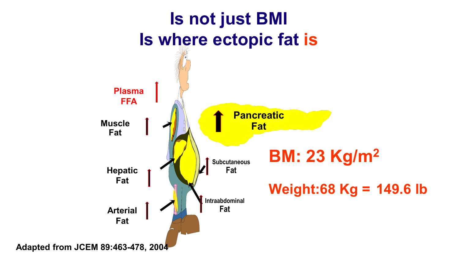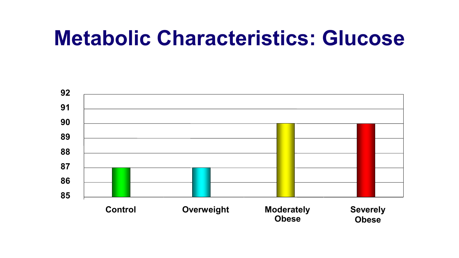### **Metabolic Characteristics: Glucose**

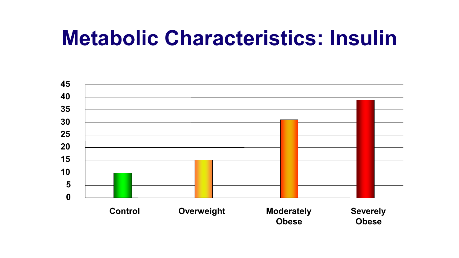## **Metabolic Characteristics: Insulin**

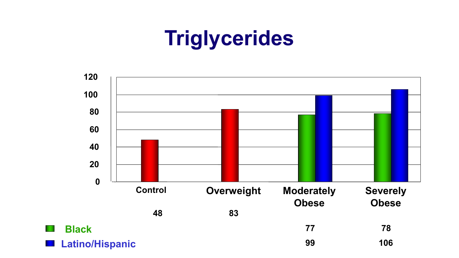## **Triglycerides**

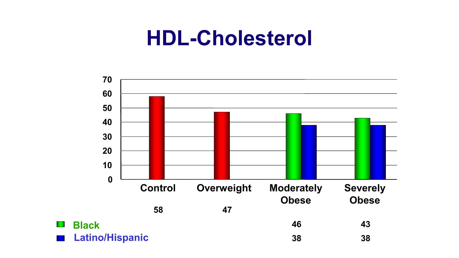### **HDL-Cholesterol**



 $\mathcal{F}^{\mathcal{A}}$ 

**FRI**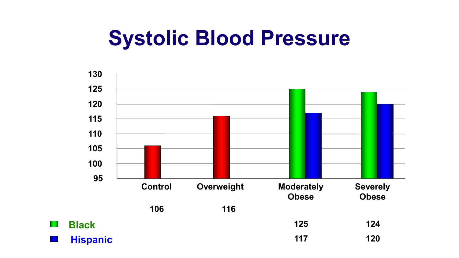## **Systolic Blood Pressure**



**The Second** 

**The Co**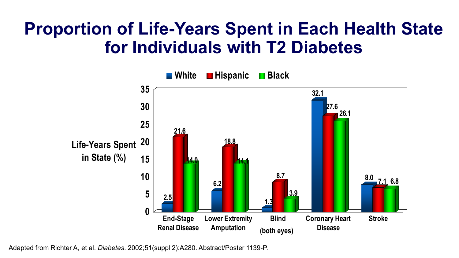#### **Proportion of Life-Years Spent in Each Health State for Individuals with T2 Diabetes**



Adapted from Richter A, et al. *Diabetes*. 2002;51(suppl 2):A280. Abstract/Poster 1139-P.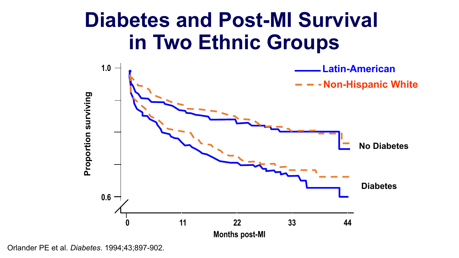### **Diabetes and Post-MI Survival in Two Ethnic Groups**



Orlander PE et al. *Diabetes*. 1994;43;897-902.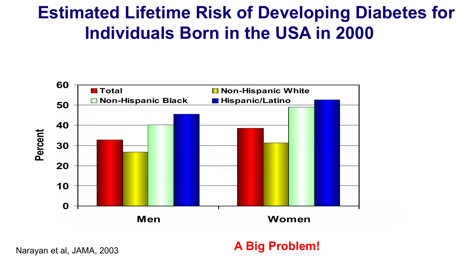#### **Estimated Lifetime Risk of Developing Diabetes for Individuals Born in the USA in 2000**



**A Big Problem!**

Narayan et al, JAMA, 2003